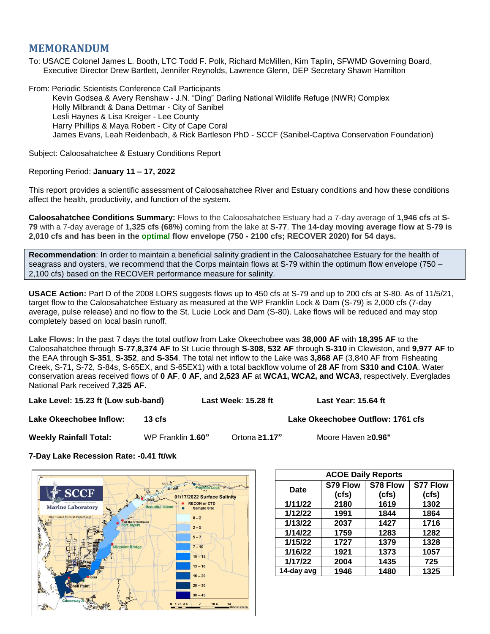## **MEMORANDUM**

To: USACE Colonel James L. Booth, LTC Todd F. Polk, Richard McMillen, Kim Taplin, SFWMD Governing Board, Executive Director Drew Bartlett, Jennifer Reynolds, Lawrence Glenn, DEP Secretary Shawn Hamilton

From: Periodic Scientists Conference Call Participants Kevin Godsea & Avery Renshaw - J.N. "Ding" Darling National Wildlife Refuge (NWR) Complex Holly Milbrandt & Dana Dettmar - City of Sanibel Lesli Haynes & Lisa Kreiger - Lee County Harry Phillips & Maya Robert - City of Cape Coral James Evans, Leah Reidenbach, & Rick Bartleson PhD - SCCF (Sanibel-Captiva Conservation Foundation)

Subject: Caloosahatchee & Estuary Conditions Report

## Reporting Period: **January 11 – 17, 2022**

This report provides a scientific assessment of Caloosahatchee River and Estuary conditions and how these conditions affect the health, productivity, and function of the system.

**Caloosahatchee Conditions Summary:** Flows to the Caloosahatchee Estuary had a 7-day average of **1,946 cfs** at **S-79** with a 7-day average of **1,325 cfs (68%)** coming from the lake at **S-77**. **The 14-day moving average flow at S-79 is 2,010 cfs and has been in the optimal flow envelope (750 - 2100 cfs; RECOVER 2020) for 54 days.**

**Recommendation**: In order to maintain a beneficial salinity gradient in the Caloosahatchee Estuary for the health of seagrass and oysters, we recommend that the Corps maintain flows at S-79 within the optimum flow envelope (750 – 2,100 cfs) based on the RECOVER performance measure for salinity.

**USACE Action:** Part D of the 2008 LORS suggests flows up to 450 cfs at S-79 and up to 200 cfs at S-80. As of 11/5/21, target flow to the Caloosahatchee Estuary as measured at the WP Franklin Lock & Dam (S-79) is 2,000 cfs (7-day average, pulse release) and no flow to the St. Lucie Lock and Dam (S-80). Lake flows will be reduced and may stop completely based on local basin runoff.

**Lake Flows:** In the past 7 days the total outflow from Lake Okeechobee was **38,000 AF** with **18,395 AF** to the Caloosahatchee through **S-77**,**8,374 AF** to St Lucie through **S-308**, **532 AF** through **S-310** in Clewiston, and **9,977 AF** to the EAA through **S-351**, **S-352**, and **S-354**. The total net inflow to the Lake was **3,868 AF** (3,840 AF from Fisheating Creek, S-71, S-72, S-84s, S-65EX, and S-65EX1) with a total backflow volume of **28 AF** from **S310 and C10A**. Water conservation areas received flows of **0 AF**, **0 AF**, and **2,523 AF** at **WCA1, WCA2, and WCA3**, respectively. Everglades National Park received **7,325 AF**.

**Lake Level: 15.23 ft (Low sub-band) Last Week**: **15.28 ft Last Year: 15.64 ft**

**Lake Okeechobee Inflow: 13 cfs Lake Okeechobee Outflow: 1761 cfs**

**Weekly Rainfall Total:** WP Franklin **1.60"** Ortona **≥1.17"** Moore Haven ≥**0.96"**

**7-Day Lake Recession Rate: -0.41 ft/wk**



| <b>ACOE Daily Reports</b> |          |          |                 |  |  |  |
|---------------------------|----------|----------|-----------------|--|--|--|
| Date                      | S79 Flow | S78 Flow | <b>S77 Flow</b> |  |  |  |
|                           | (cfs)    | (cfs)    | (cfs)           |  |  |  |
| 1/11/22                   | 2180     | 1619     | 1302            |  |  |  |
| 1/12/22                   | 1991     | 1844     | 1864            |  |  |  |
| 1/13/22                   | 2037     | 1427     | 1716            |  |  |  |
| 1/14/22                   | 1759     | 1283     | 1282            |  |  |  |
| 1/15/22                   | 1727     | 1379     | 1328            |  |  |  |
| 1/16/22                   | 1921     | 1373     | 1057            |  |  |  |
| 1/17/22                   | 2004     | 1435     | 725             |  |  |  |
| 14-day avg                | 1946     | 1480     | 1325            |  |  |  |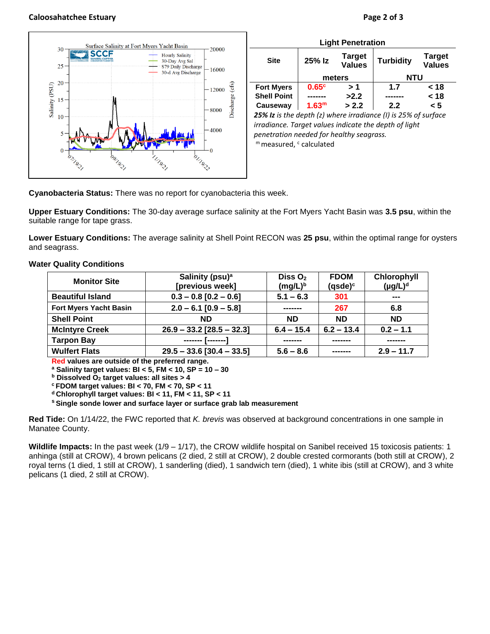## **Caloosahatchee Estuary Page 2 of 3**

30

## **SCCF Hourly Salinity** 30-Day Avg Sal  $25$ S79 Daily Discharge  $16000$ 30-d Avg Discharge 20 Salinity (PSU) Discharge (cfs) 12000 15 8000 10  $-4000$ 11932 I 9.21

Surface Salinity at Fort Myers Yacht Basin

| 25% Iz            | <b>Target</b><br><b>Values</b> | <b>Turbidity</b> | <b>Target</b><br><b>Values</b> |  |
|-------------------|--------------------------------|------------------|--------------------------------|--|
| meters            |                                | NTU              |                                |  |
| 0.65 <sup>c</sup> | > 1                            | 1.7              | < 18                           |  |
|                   | >2.2                           |                  | < 18                           |  |
| 1.63 <sup>m</sup> | > 2.2                          | 2.2              | < 5                            |  |
|                   |                                |                  |                                |  |

*irradiance. Target values indicate the depth of light penetration needed for healthy seagrass.* m measured, c calculated

**Cyanobacteria Status:** There was no report for cyanobacteria this week.

**Upper Estuary Conditions:** The 30-day average surface salinity at the Fort Myers Yacht Basin was **3.5 psu**, within the suitable range for tape grass.

20000

**Lower Estuary Conditions:** The average salinity at Shell Point RECON was **25 psu**, within the optimal range for oysters and seagrass.

**Water Quality Conditions**

| <b>Monitor Site</b>           | Salinity (psu) <sup>a</sup><br>[previous week] | Diss $O2$<br>$(mg/L)^b$ | <b>FDOM</b><br>$(q$ sde $)^c$ | Chlorophyll<br>$(\mu g/L)^d$ |
|-------------------------------|------------------------------------------------|-------------------------|-------------------------------|------------------------------|
| <b>Beautiful Island</b>       | $0.3 - 0.8$ [0.2 - 0.6]                        | $5.1 - 6.3$             | 301                           | ---                          |
| <b>Fort Myers Yacht Basin</b> | $2.0 - 6.1$ [0.9 - 5.8]                        | -------                 | 267                           | 6.8                          |
| <b>Shell Point</b>            | <b>ND</b>                                      | <b>ND</b>               | <b>ND</b>                     | <b>ND</b>                    |
| <b>McIntyre Creek</b>         | $26.9 - 33.2$ [28.5 - 32.3]                    | $6.4 - 15.4$            | $6.2 - 13.4$                  | $0.2 - 1.1$                  |
| <b>Tarpon Bay</b>             | ------- [------- <sup>-</sup>                  | -------                 | -------                       | -------                      |
| <b>Wulfert Flats</b>          | $29.5 - 33.6$ [30.4 - 33.5]                    | $5.6 - 8.6$             |                               | $2.9 - 11.7$                 |

**Red values are outside of the preferred range.**

**<sup>a</sup> Salinity target values: BI < 5, FM < 10, SP = 10 – 30**

**<sup>b</sup> Dissolved O<sup>2</sup> target values: all sites > 4**

**<sup>c</sup> FDOM target values: BI < 70, FM < 70, SP < 11**

**<sup>d</sup> Chlorophyll target values: BI < 11, FM < 11, SP < 11** 

**<sup>s</sup> Single sonde lower and surface layer or surface grab lab measurement**

**Red Tide:** On 1/14/22, the FWC reported that *K. brevis* was observed at background concentrations in one sample in Manatee County.

**Wildlife Impacts:** In the past week (1/9 – 1/17), the CROW wildlife hospital on Sanibel received 15 toxicosis patients: 1 anhinga (still at CROW), 4 brown pelicans (2 died, 2 still at CROW), 2 double crested cormorants (both still at CROW), 2 royal terns (1 died, 1 still at CROW), 1 sanderling (died), 1 sandwich tern (died), 1 white ibis (still at CROW), and 3 white pelicans (1 died, 2 still at CROW).